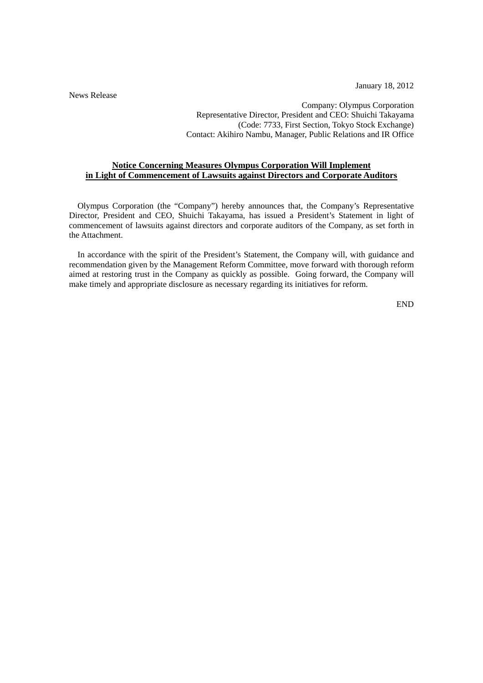News Release

Company: Olympus Corporation Representative Director, President and CEO: Shuichi Takayama (Code: 7733, First Section, Tokyo Stock Exchange) Contact: Akihiro Nambu, Manager, Public Relations and IR Office

## **Notice Concerning Measures Olympus Corporation Will Implement in Light of Commencement of Lawsuits against Directors and Corporate Auditors**

Olympus Corporation (the "Company") hereby announces that, the Company's Representative Director, President and CEO, Shuichi Takayama, has issued a President's Statement in light of commencement of lawsuits against directors and corporate auditors of the Company, as set forth in the Attachment.

In accordance with the spirit of the President's Statement, the Company will, with guidance and recommendation given by the Management Reform Committee, move forward with thorough reform aimed at restoring trust in the Company as quickly as possible. Going forward, the Company will make timely and appropriate disclosure as necessary regarding its initiatives for reform.

END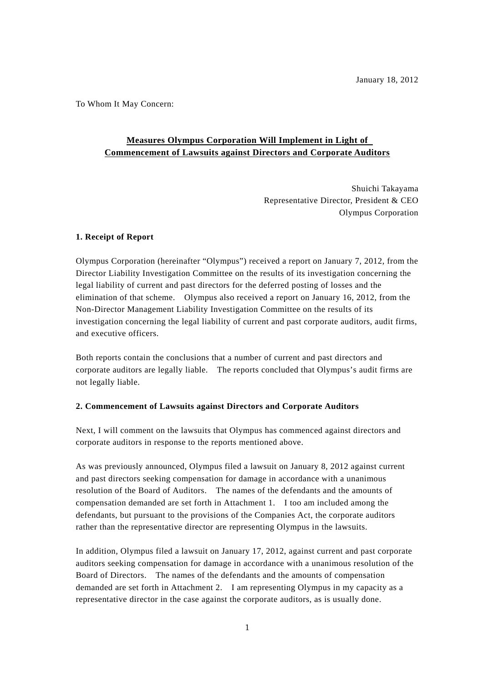To Whom It May Concern:

# **Measures Olympus Corporation Will Implement in Light of Commencement of Lawsuits against Directors and Corporate Auditors**

Shuichi Takayama Representative Director, President & CEO Olympus Corporation

## **1. Receipt of Report**

Olympus Corporation (hereinafter "Olympus") received a report on January 7, 2012, from the Director Liability Investigation Committee on the results of its investigation concerning the legal liability of current and past directors for the deferred posting of losses and the elimination of that scheme. Olympus also received a report on January 16, 2012, from the Non-Director Management Liability Investigation Committee on the results of its investigation concerning the legal liability of current and past corporate auditors, audit firms, and executive officers.

Both reports contain the conclusions that a number of current and past directors and corporate auditors are legally liable. The reports concluded that Olympus's audit firms are not legally liable.

#### **2. Commencement of Lawsuits against Directors and Corporate Auditors**

Next, I will comment on the lawsuits that Olympus has commenced against directors and corporate auditors in response to the reports mentioned above.

As was previously announced, Olympus filed a lawsuit on January 8, 2012 against current and past directors seeking compensation for damage in accordance with a unanimous resolution of the Board of Auditors. The names of the defendants and the amounts of compensation demanded are set forth in Attachment 1. I too am included among the defendants, but pursuant to the provisions of the Companies Act, the corporate auditors rather than the representative director are representing Olympus in the lawsuits.

In addition, Olympus filed a lawsuit on January 17, 2012, against current and past corporate auditors seeking compensation for damage in accordance with a unanimous resolution of the Board of Directors. The names of the defendants and the amounts of compensation demanded are set forth in Attachment 2. I am representing Olympus in my capacity as a representative director in the case against the corporate auditors, as is usually done.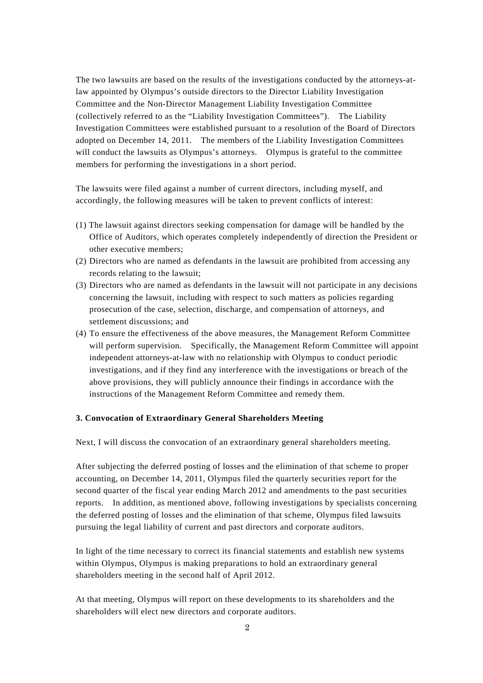The two lawsuits are based on the results of the investigations conducted by the attorneys-atlaw appointed by Olympus's outside directors to the Director Liability Investigation Committee and the Non-Director Management Liability Investigation Committee (collectively referred to as the "Liability Investigation Committees"). The Liability Investigation Committees were established pursuant to a resolution of the Board of Directors adopted on December 14, 2011. The members of the Liability Investigation Committees will conduct the lawsuits as Olympus's attorneys. Olympus is grateful to the committee members for performing the investigations in a short period.

The lawsuits were filed against a number of current directors, including myself, and accordingly, the following measures will be taken to prevent conflicts of interest:

- (1) The lawsuit against directors seeking compensation for damage will be handled by the Office of Auditors, which operates completely independently of direction the President or other executive members;
- (2) Directors who are named as defendants in the lawsuit are prohibited from accessing any records relating to the lawsuit;
- (3) Directors who are named as defendants in the lawsuit will not participate in any decisions concerning the lawsuit, including with respect to such matters as policies regarding prosecution of the case, selection, discharge, and compensation of attorneys, and settlement discussions; and
- (4) To ensure the effectiveness of the above measures, the Management Reform Committee will perform supervision. Specifically, the Management Reform Committee will appoint independent attorneys-at-law with no relationship with Olympus to conduct periodic investigations, and if they find any interference with the investigations or breach of the above provisions, they will publicly announce their findings in accordance with the instructions of the Management Reform Committee and remedy them.

#### **3. Convocation of Extraordinary General Shareholders Meeting**

Next, I will discuss the convocation of an extraordinary general shareholders meeting.

After subjecting the deferred posting of losses and the elimination of that scheme to proper accounting, on December 14, 2011, Olympus filed the quarterly securities report for the second quarter of the fiscal year ending March 2012 and amendments to the past securities reports. In addition, as mentioned above, following investigations by specialists concerning the deferred posting of losses and the elimination of that scheme, Olympus filed lawsuits pursuing the legal liability of current and past directors and corporate auditors.

In light of the time necessary to correct its financial statements and establish new systems within Olympus, Olympus is making preparations to hold an extraordinary general shareholders meeting in the second half of April 2012.

At that meeting, Olympus will report on these developments to its shareholders and the shareholders will elect new directors and corporate auditors.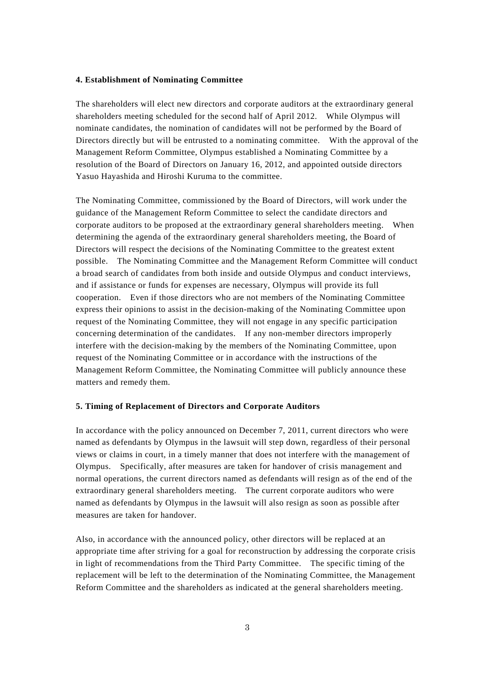#### **4. Establishment of Nominating Committee**

The shareholders will elect new directors and corporate auditors at the extraordinary general shareholders meeting scheduled for the second half of April 2012. While Olympus will nominate candidates, the nomination of candidates will not be performed by the Board of Directors directly but will be entrusted to a nominating committee. With the approval of the Management Reform Committee, Olympus established a Nominating Committee by a resolution of the Board of Directors on January 16, 2012, and appointed outside directors Yasuo Hayashida and Hiroshi Kuruma to the committee.

The Nominating Committee, commissioned by the Board of Directors, will work under the guidance of the Management Reform Committee to select the candidate directors and corporate auditors to be proposed at the extraordinary general shareholders meeting. When determining the agenda of the extraordinary general shareholders meeting, the Board of Directors will respect the decisions of the Nominating Committee to the greatest extent possible. The Nominating Committee and the Management Reform Committee will conduct a broad search of candidates from both inside and outside Olympus and conduct interviews, and if assistance or funds for expenses are necessary, Olympus will provide its full cooperation. Even if those directors who are not members of the Nominating Committee express their opinions to assist in the decision-making of the Nominating Committee upon request of the Nominating Committee, they will not engage in any specific participation concerning determination of the candidates. If any non-member directors improperly interfere with the decision-making by the members of the Nominating Committee, upon request of the Nominating Committee or in accordance with the instructions of the Management Reform Committee, the Nominating Committee will publicly announce these matters and remedy them.

#### **5. Timing of Replacement of Directors and Corporate Auditors**

In accordance with the policy announced on December 7, 2011, current directors who were named as defendants by Olympus in the lawsuit will step down, regardless of their personal views or claims in court, in a timely manner that does not interfere with the management of Olympus. Specifically, after measures are taken for handover of crisis management and normal operations, the current directors named as defendants will resign as of the end of the extraordinary general shareholders meeting. The current corporate auditors who were named as defendants by Olympus in the lawsuit will also resign as soon as possible after measures are taken for handover.

Also, in accordance with the announced policy, other directors will be replaced at an appropriate time after striving for a goal for reconstruction by addressing the corporate crisis in light of recommendations from the Third Party Committee. The specific timing of the replacement will be left to the determination of the Nominating Committee, the Management Reform Committee and the shareholders as indicated at the general shareholders meeting.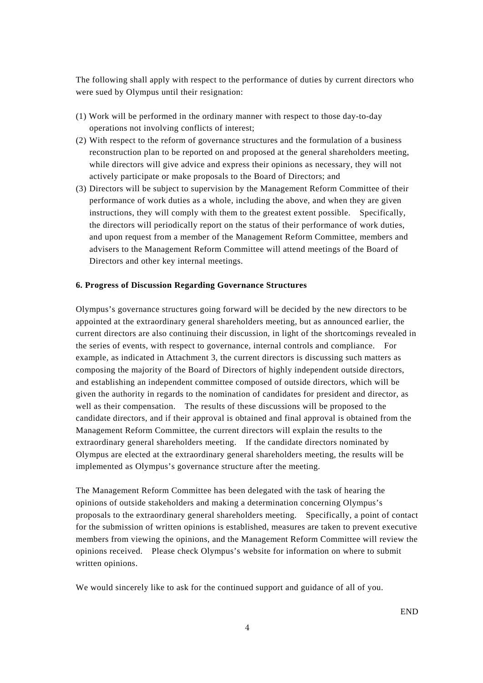The following shall apply with respect to the performance of duties by current directors who were sued by Olympus until their resignation:

- (1) Work will be performed in the ordinary manner with respect to those day-to-day operations not involving conflicts of interest;
- (2) With respect to the reform of governance structures and the formulation of a business reconstruction plan to be reported on and proposed at the general shareholders meeting, while directors will give advice and express their opinions as necessary, they will not actively participate or make proposals to the Board of Directors; and
- (3) Directors will be subject to supervision by the Management Reform Committee of their performance of work duties as a whole, including the above, and when they are given instructions, they will comply with them to the greatest extent possible. Specifically, the directors will periodically report on the status of their performance of work duties, and upon request from a member of the Management Reform Committee, members and advisers to the Management Reform Committee will attend meetings of the Board of Directors and other key internal meetings.

#### **6. Progress of Discussion Regarding Governance Structures**

Olympus's governance structures going forward will be decided by the new directors to be appointed at the extraordinary general shareholders meeting, but as announced earlier, the current directors are also continuing their discussion, in light of the shortcomings revealed in the series of events, with respect to governance, internal controls and compliance. For example, as indicated in Attachment 3, the current directors is discussing such matters as composing the majority of the Board of Directors of highly independent outside directors, and establishing an independent committee composed of outside directors, which will be given the authority in regards to the nomination of candidates for president and director, as well as their compensation. The results of these discussions will be proposed to the candidate directors, and if their approval is obtained and final approval is obtained from the Management Reform Committee, the current directors will explain the results to the extraordinary general shareholders meeting. If the candidate directors nominated by Olympus are elected at the extraordinary general shareholders meeting, the results will be implemented as Olympus's governance structure after the meeting.

The Management Reform Committee has been delegated with the task of hearing the opinions of outside stakeholders and making a determination concerning Olympus's proposals to the extraordinary general shareholders meeting. Specifically, a point of contact for the submission of written opinions is established, measures are taken to prevent executive members from viewing the opinions, and the Management Reform Committee will review the opinions received. Please check Olympus's website for information on where to submit written opinions.

We would sincerely like to ask for the continued support and guidance of all of you.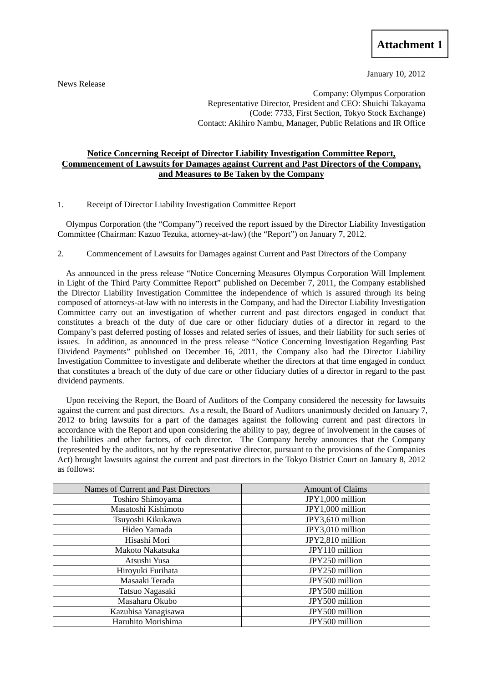January 10, 2012

News Release

Company: Olympus Corporation Representative Director, President and CEO: Shuichi Takayama (Code: 7733, First Section, Tokyo Stock Exchange) Contact: Akihiro Nambu, Manager, Public Relations and IR Office

## **Notice Concerning Receipt of Director Liability Investigation Committee Report, Commencement of Lawsuits for Damages against Current and Past Directors of the Company, and Measures to Be Taken by the Company**

1. Receipt of Director Liability Investigation Committee Report

Olympus Corporation (the "Company") received the report issued by the Director Liability Investigation Committee (Chairman: Kazuo Tezuka, attorney-at-law) (the "Report") on January 7, 2012.

### 2. Commencement of Lawsuits for Damages against Current and Past Directors of the Company

As announced in the press release "Notice Concerning Measures Olympus Corporation Will Implement in Light of the Third Party Committee Report" published on December 7, 2011, the Company established the Director Liability Investigation Committee the independence of which is assured through its being composed of attorneys-at-law with no interests in the Company, and had the Director Liability Investigation Committee carry out an investigation of whether current and past directors engaged in conduct that constitutes a breach of the duty of due care or other fiduciary duties of a director in regard to the Company's past deferred posting of losses and related series of issues, and their liability for such series of issues. In addition, as announced in the press release "Notice Concerning Investigation Regarding Past Dividend Payments" published on December 16, 2011, the Company also had the Director Liability Investigation Committee to investigate and deliberate whether the directors at that time engaged in conduct that constitutes a breach of the duty of due care or other fiduciary duties of a director in regard to the past dividend payments.

Upon receiving the Report, the Board of Auditors of the Company considered the necessity for lawsuits against the current and past directors. As a result, the Board of Auditors unanimously decided on January 7, 2012 to bring lawsuits for a part of the damages against the following current and past directors in accordance with the Report and upon considering the ability to pay, degree of involvement in the causes of the liabilities and other factors, of each director. The Company hereby announces that the Company (represented by the auditors, not by the representative director, pursuant to the provisions of the Companies Act) brought lawsuits against the current and past directors in the Tokyo District Court on January 8, 2012 as follows:

| Names of Current and Past Directors | <b>Amount of Claims</b> |
|-------------------------------------|-------------------------|
| Toshiro Shimoyama                   | JPY1,000 million        |
| Masatoshi Kishimoto                 | JPY1,000 million        |
| Tsuyoshi Kikukawa                   | JPY3,610 million        |
| Hideo Yamada                        | JPY3,010 million        |
| Hisashi Mori                        | JPY2,810 million        |
| Makoto Nakatsuka                    | JPY110 million          |
| Atsushi Yusa                        | JPY250 million          |
| Hiroyuki Furihata                   | JPY250 million          |
| Masaaki Terada                      | JPY500 million          |
| Tatsuo Nagasaki                     | JPY500 million          |
| Masaharu Okubo                      | JPY500 million          |
| Kazuhisa Yanagisawa                 | JPY500 million          |
| Haruhito Morishima                  | JPY500 million          |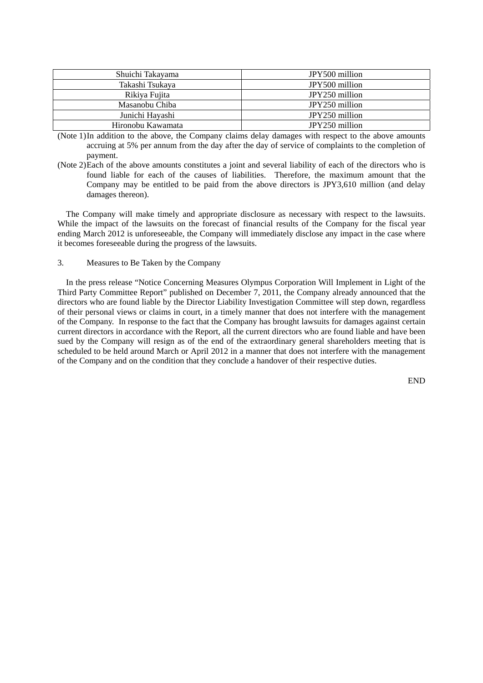| Shuichi Takayama  | JPY500 million |
|-------------------|----------------|
| Takashi Tsukaya   | JPY500 million |
| Rikiya Fujita     | JPY250 million |
| Masanobu Chiba    | JPY250 million |
| Junichi Hayashi   | JPY250 million |
| Hironobu Kawamata | JPY250 million |

(Note 1) In addition to the above, the Company claims delay damages with respect to the above amounts accruing at 5% per annum from the day after the day of service of complaints to the completion of payment.

(Note 2) Each of the above amounts constitutes a joint and several liability of each of the directors who is found liable for each of the causes of liabilities. Therefore, the maximum amount that the Company may be entitled to be paid from the above directors is JPY3,610 million (and delay damages thereon).

The Company will make timely and appropriate disclosure as necessary with respect to the lawsuits. While the impact of the lawsuits on the forecast of financial results of the Company for the fiscal year ending March 2012 is unforeseeable, the Company will immediately disclose any impact in the case where it becomes foreseeable during the progress of the lawsuits.

## 3. Measures to Be Taken by the Company

In the press release "Notice Concerning Measures Olympus Corporation Will Implement in Light of the Third Party Committee Report" published on December 7, 2011, the Company already announced that the directors who are found liable by the Director Liability Investigation Committee will step down, regardless of their personal views or claims in court, in a timely manner that does not interfere with the management of the Company. In response to the fact that the Company has brought lawsuits for damages against certain current directors in accordance with the Report, all the current directors who are found liable and have been sued by the Company will resign as of the end of the extraordinary general shareholders meeting that is scheduled to be held around March or April 2012 in a manner that does not interfere with the management of the Company and on the condition that they conclude a handover of their respective duties.

END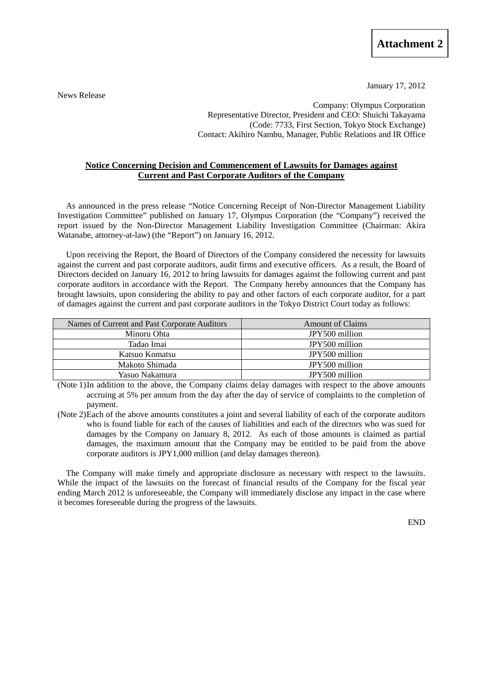January 17, 2012

News Release

Company: Olympus Corporation Representative Director, President and CEO: Shuichi Takayama (Code: 7733, First Section, Tokyo Stock Exchange) Contact: Akihiro Nambu, Manager, Public Relations and IR Office

## **Notice Concerning Decision and Commencement of Lawsuits for Damages against Current and Past Corporate Auditors of the Company**

As announced in the press release "Notice Concerning Receipt of Non-Director Management Liability Investigation Committee" published on January 17, Olympus Corporation (the "Company") received the report issued by the Non-Director Management Liability Investigation Committee (Chairman: Akira Watanabe, attorney-at-law) (the "Report") on January 16, 2012.

Upon receiving the Report, the Board of Directors of the Company considered the necessity for lawsuits against the current and past corporate auditors, audit firms and executive officers. As a result, the Board of Directors decided on January 16, 2012 to bring lawsuits for damages against the following current and past corporate auditors in accordance with the Report. The Company hereby announces that the Company has brought lawsuits, upon considering the ability to pay and other factors of each corporate auditor, for a part of damages against the current and past corporate auditors in the Tokyo District Court today as follows:

| Names of Current and Past Corporate Auditors | <b>Amount of Claims</b> |
|----------------------------------------------|-------------------------|
| Minoru Ohta                                  | JPY500 million          |
| Tadao Imai                                   | JPY500 million          |
| Katsuo Komatsu                               | JPY500 million          |
| Makoto Shimada                               | JPY500 million          |
| Yasuo Nakamura                               | JPY500 million          |

(Note 1) In addition to the above, the Company claims delay damages with respect to the above amounts accruing at 5% per annum from the day after the day of service of complaints to the completion of payment.

(Note 2) Each of the above amounts constitutes a joint and several liability of each of the corporate auditors who is found liable for each of the causes of liabilities and each of the directors who was sued for damages by the Company on January 8, 2012. As each of those amounts is claimed as partial damages, the maximum amount that the Company may be entitled to be paid from the above corporate auditors is JPY1,000 million (and delay damages thereon).

The Company will make timely and appropriate disclosure as necessary with respect to the lawsuits. While the impact of the lawsuits on the forecast of financial results of the Company for the fiscal year ending March 2012 is unforeseeable, the Company will immediately disclose any impact in the case where it becomes foreseeable during the progress of the lawsuits.

END